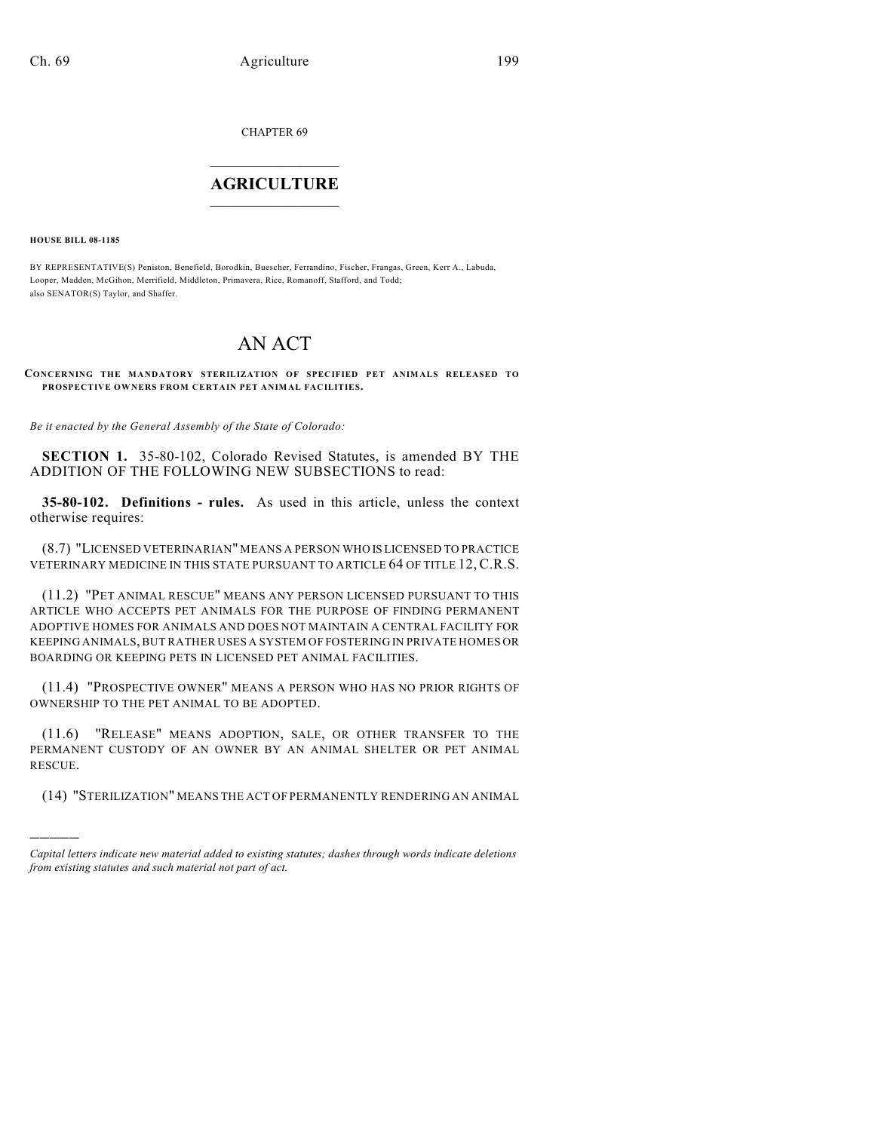CHAPTER 69

## $\mathcal{L}_\text{max}$  . The set of the set of the set of the set of the set of the set of the set of the set of the set of the set of the set of the set of the set of the set of the set of the set of the set of the set of the set **AGRICULTURE**  $\_$   $\_$   $\_$   $\_$   $\_$   $\_$   $\_$   $\_$

**HOUSE BILL 08-1185**

)))))

BY REPRESENTATIVE(S) Peniston, Benefield, Borodkin, Buescher, Ferrandino, Fischer, Frangas, Green, Kerr A., Labuda, Looper, Madden, McGihon, Merrifield, Middleton, Primavera, Rice, Romanoff, Stafford, and Todd; also SENATOR(S) Taylor, and Shaffer.

## AN ACT

**CONCERNING THE MANDATORY STERILIZATION OF SPECIFIED PET ANIMALS RELEASED TO PROSPECTIVE OWNERS FROM CERTAIN PET ANIMAL FACILITIES.**

*Be it enacted by the General Assembly of the State of Colorado:*

**SECTION 1.** 35-80-102, Colorado Revised Statutes, is amended BY THE ADDITION OF THE FOLLOWING NEW SUBSECTIONS to read:

**35-80-102. Definitions - rules.** As used in this article, unless the context otherwise requires:

(8.7) "LICENSED VETERINARIAN" MEANS A PERSON WHO IS LICENSED TO PRACTICE VETERINARY MEDICINE IN THIS STATE PURSUANT TO ARTICLE 64 OF TITLE 12, C.R.S.

(11.2) "PET ANIMAL RESCUE" MEANS ANY PERSON LICENSED PURSUANT TO THIS ARTICLE WHO ACCEPTS PET ANIMALS FOR THE PURPOSE OF FINDING PERMANENT ADOPTIVE HOMES FOR ANIMALS AND DOES NOT MAINTAIN A CENTRAL FACILITY FOR KEEPING ANIMALS, BUT RATHER USES A SYSTEM OF FOSTERING IN PRIVATE HOMES OR BOARDING OR KEEPING PETS IN LICENSED PET ANIMAL FACILITIES.

(11.4) "PROSPECTIVE OWNER" MEANS A PERSON WHO HAS NO PRIOR RIGHTS OF OWNERSHIP TO THE PET ANIMAL TO BE ADOPTED.

(11.6) "RELEASE" MEANS ADOPTION, SALE, OR OTHER TRANSFER TO THE PERMANENT CUSTODY OF AN OWNER BY AN ANIMAL SHELTER OR PET ANIMAL RESCUE.

(14) "STERILIZATION" MEANS THE ACT OF PERMANENTLY RENDERING AN ANIMAL

*Capital letters indicate new material added to existing statutes; dashes through words indicate deletions from existing statutes and such material not part of act.*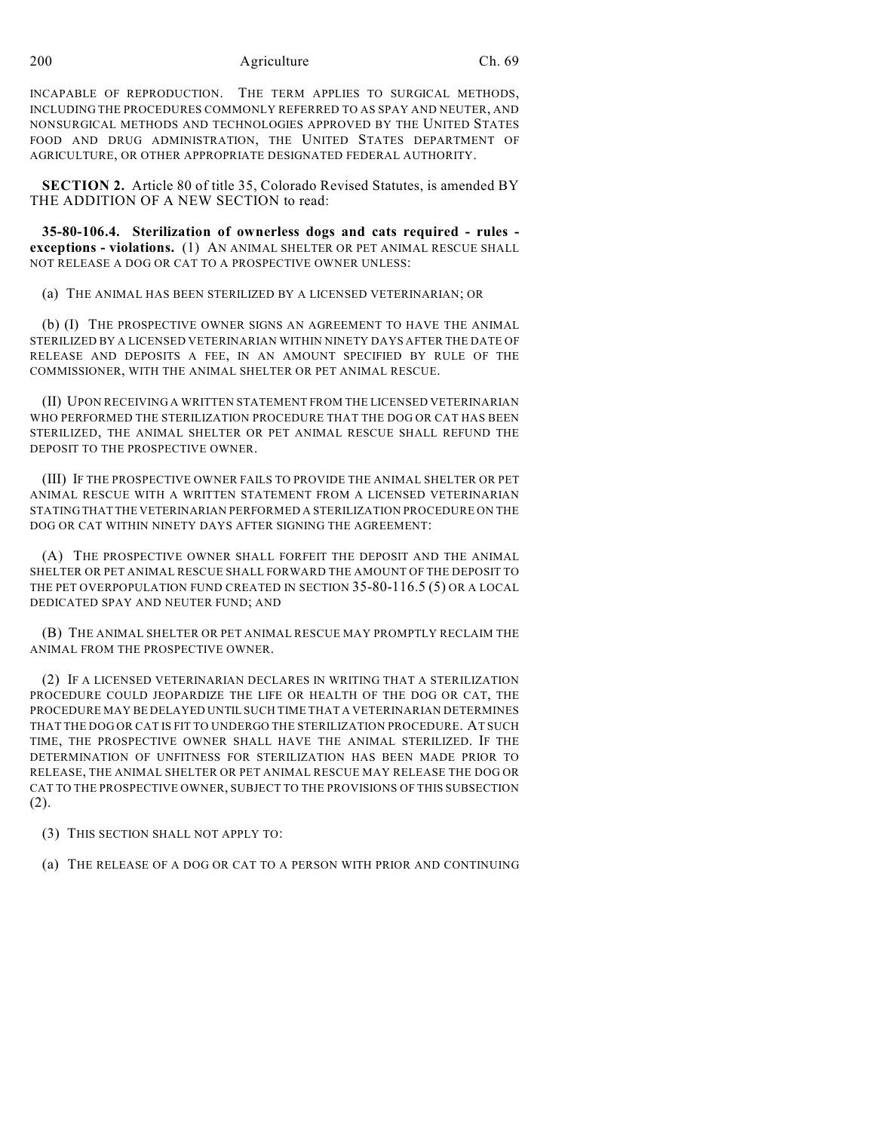200 Agriculture Ch. 69

INCAPABLE OF REPRODUCTION. THE TERM APPLIES TO SURGICAL METHODS, INCLUDING THE PROCEDURES COMMONLY REFERRED TO AS SPAY AND NEUTER, AND NONSURGICAL METHODS AND TECHNOLOGIES APPROVED BY THE UNITED STATES FOOD AND DRUG ADMINISTRATION, THE UNITED STATES DEPARTMENT OF AGRICULTURE, OR OTHER APPROPRIATE DESIGNATED FEDERAL AUTHORITY.

**SECTION 2.** Article 80 of title 35, Colorado Revised Statutes, is amended BY THE ADDITION OF A NEW SECTION to read:

**35-80-106.4. Sterilization of ownerless dogs and cats required - rules exceptions - violations.** (1) AN ANIMAL SHELTER OR PET ANIMAL RESCUE SHALL NOT RELEASE A DOG OR CAT TO A PROSPECTIVE OWNER UNLESS:

(a) THE ANIMAL HAS BEEN STERILIZED BY A LICENSED VETERINARIAN; OR

(b) (I) THE PROSPECTIVE OWNER SIGNS AN AGREEMENT TO HAVE THE ANIMAL STERILIZED BY A LICENSED VETERINARIAN WITHIN NINETY DAYS AFTER THE DATE OF RELEASE AND DEPOSITS A FEE, IN AN AMOUNT SPECIFIED BY RULE OF THE COMMISSIONER, WITH THE ANIMAL SHELTER OR PET ANIMAL RESCUE.

(II) UPON RECEIVING A WRITTEN STATEMENT FROM THE LICENSED VETERINARIAN WHO PERFORMED THE STERILIZATION PROCEDURE THAT THE DOG OR CAT HAS BEEN STERILIZED, THE ANIMAL SHELTER OR PET ANIMAL RESCUE SHALL REFUND THE DEPOSIT TO THE PROSPECTIVE OWNER.

(III) IF THE PROSPECTIVE OWNER FAILS TO PROVIDE THE ANIMAL SHELTER OR PET ANIMAL RESCUE WITH A WRITTEN STATEMENT FROM A LICENSED VETERINARIAN STATING THAT THE VETERINARIAN PERFORMED A STERILIZATION PROCEDURE ON THE DOG OR CAT WITHIN NINETY DAYS AFTER SIGNING THE AGREEMENT:

(A) THE PROSPECTIVE OWNER SHALL FORFEIT THE DEPOSIT AND THE ANIMAL SHELTER OR PET ANIMAL RESCUE SHALL FORWARD THE AMOUNT OF THE DEPOSIT TO THE PET OVERPOPULATION FUND CREATED IN SECTION 35-80-116.5 (5) OR A LOCAL DEDICATED SPAY AND NEUTER FUND; AND

(B) THE ANIMAL SHELTER OR PET ANIMAL RESCUE MAY PROMPTLY RECLAIM THE ANIMAL FROM THE PROSPECTIVE OWNER.

(2) IF A LICENSED VETERINARIAN DECLARES IN WRITING THAT A STERILIZATION PROCEDURE COULD JEOPARDIZE THE LIFE OR HEALTH OF THE DOG OR CAT, THE PROCEDURE MAY BE DELAYED UNTIL SUCH TIME THAT A VETERINARIAN DETERMINES THAT THE DOG OR CAT IS FIT TO UNDERGO THE STERILIZATION PROCEDURE. AT SUCH TIME, THE PROSPECTIVE OWNER SHALL HAVE THE ANIMAL STERILIZED. IF THE DETERMINATION OF UNFITNESS FOR STERILIZATION HAS BEEN MADE PRIOR TO RELEASE, THE ANIMAL SHELTER OR PET ANIMAL RESCUE MAY RELEASE THE DOG OR CAT TO THE PROSPECTIVE OWNER, SUBJECT TO THE PROVISIONS OF THIS SUBSECTION (2).

(3) THIS SECTION SHALL NOT APPLY TO:

(a) THE RELEASE OF A DOG OR CAT TO A PERSON WITH PRIOR AND CONTINUING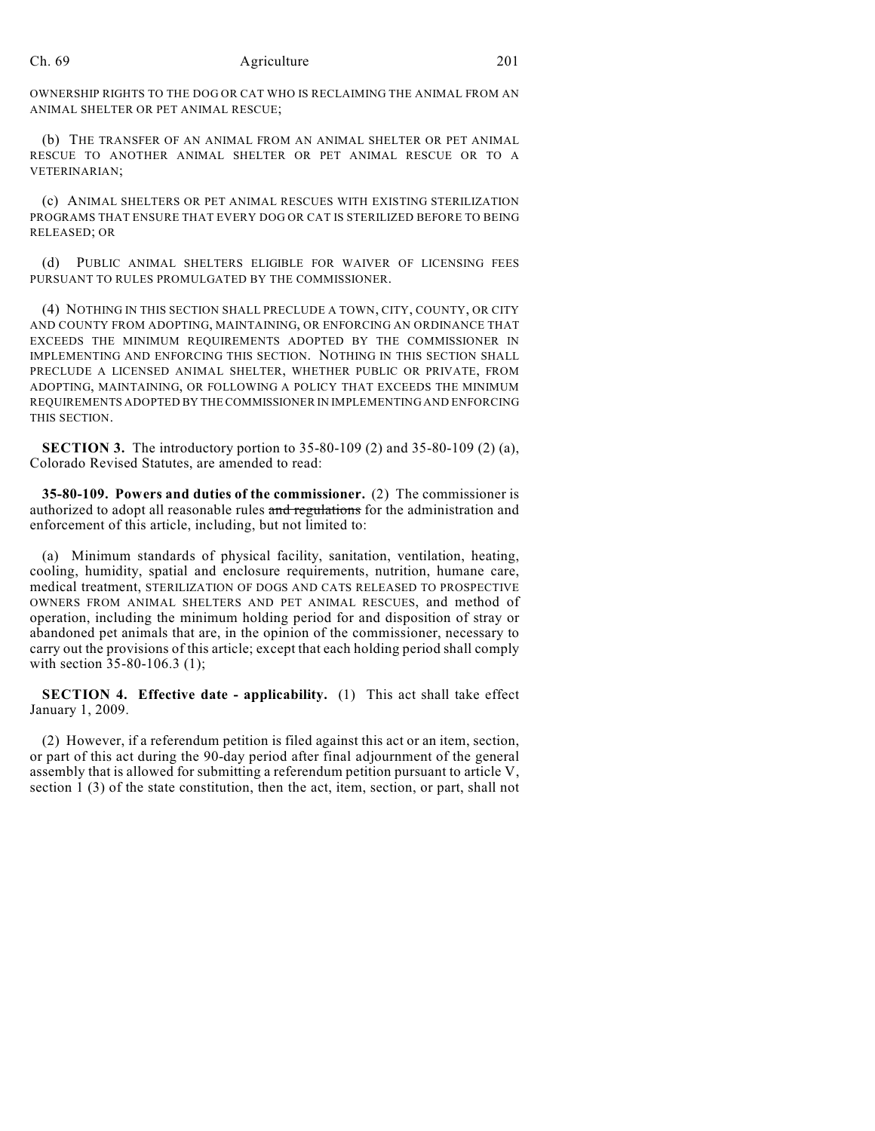## Ch. 69 Agriculture 201

OWNERSHIP RIGHTS TO THE DOG OR CAT WHO IS RECLAIMING THE ANIMAL FROM AN ANIMAL SHELTER OR PET ANIMAL RESCUE;

(b) THE TRANSFER OF AN ANIMAL FROM AN ANIMAL SHELTER OR PET ANIMAL RESCUE TO ANOTHER ANIMAL SHELTER OR PET ANIMAL RESCUE OR TO A VETERINARIAN;

(c) ANIMAL SHELTERS OR PET ANIMAL RESCUES WITH EXISTING STERILIZATION PROGRAMS THAT ENSURE THAT EVERY DOG OR CAT IS STERILIZED BEFORE TO BEING RELEASED; OR

(d) PUBLIC ANIMAL SHELTERS ELIGIBLE FOR WAIVER OF LICENSING FEES PURSUANT TO RULES PROMULGATED BY THE COMMISSIONER.

(4) NOTHING IN THIS SECTION SHALL PRECLUDE A TOWN, CITY, COUNTY, OR CITY AND COUNTY FROM ADOPTING, MAINTAINING, OR ENFORCING AN ORDINANCE THAT EXCEEDS THE MINIMUM REQUIREMENTS ADOPTED BY THE COMMISSIONER IN IMPLEMENTING AND ENFORCING THIS SECTION. NOTHING IN THIS SECTION SHALL PRECLUDE A LICENSED ANIMAL SHELTER, WHETHER PUBLIC OR PRIVATE, FROM ADOPTING, MAINTAINING, OR FOLLOWING A POLICY THAT EXCEEDS THE MINIMUM REQUIREMENTS ADOPTED BY THE COMMISSIONER IN IMPLEMENTING AND ENFORCING THIS SECTION.

**SECTION 3.** The introductory portion to 35-80-109 (2) and 35-80-109 (2) (a), Colorado Revised Statutes, are amended to read:

**35-80-109. Powers and duties of the commissioner.** (2) The commissioner is authorized to adopt all reasonable rules and regulations for the administration and enforcement of this article, including, but not limited to:

(a) Minimum standards of physical facility, sanitation, ventilation, heating, cooling, humidity, spatial and enclosure requirements, nutrition, humane care, medical treatment, STERILIZATION OF DOGS AND CATS RELEASED TO PROSPECTIVE OWNERS FROM ANIMAL SHELTERS AND PET ANIMAL RESCUES, and method of operation, including the minimum holding period for and disposition of stray or abandoned pet animals that are, in the opinion of the commissioner, necessary to carry out the provisions of this article; except that each holding period shall comply with section 35-80-106.3 (1);

**SECTION 4. Effective date - applicability.** (1) This act shall take effect January 1, 2009.

(2) However, if a referendum petition is filed against this act or an item, section, or part of this act during the 90-day period after final adjournment of the general assembly that is allowed for submitting a referendum petition pursuant to article V, section 1 (3) of the state constitution, then the act, item, section, or part, shall not